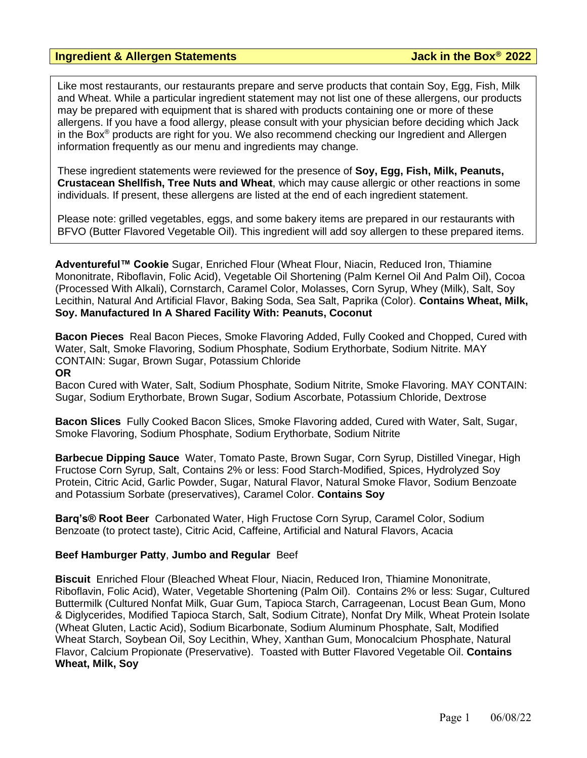### **Ingredient & Allergen Statements Jack in the Box® 2022**

Like most restaurants, our restaurants prepare and serve products that contain Soy, Egg, Fish, Milk and Wheat. While a particular ingredient statement may not list one of these allergens, our products may be prepared with equipment that is shared with products containing one or more of these allergens. If you have a food allergy, please consult with your physician before deciding which Jack in the Box<sup>®</sup> products are right for you. We also recommend checking our Ingredient and Allergen information frequently as our menu and ingredients may change.

These ingredient statements were reviewed for the presence of **Soy, Egg, Fish, Milk, Peanuts, Crustacean Shellfish, Tree Nuts and Wheat**, which may cause allergic or other reactions in some individuals. If present, these allergens are listed at the end of each ingredient statement.

Please note: grilled vegetables, eggs, and some bakery items are prepared in our restaurants with BFVO (Butter Flavored Vegetable Oil). This ingredient will add soy allergen to these prepared items.

**Adventureful™ Cookie** Sugar, Enriched Flour (Wheat Flour, Niacin, Reduced Iron, Thiamine Mononitrate, Riboflavin, Folic Acid), Vegetable Oil Shortening (Palm Kernel Oil And Palm Oil), Cocoa (Processed With Alkali), Cornstarch, Caramel Color, Molasses, Corn Syrup, Whey (Milk), Salt, Soy Lecithin, Natural And Artificial Flavor, Baking Soda, Sea Salt, Paprika (Color). **Contains Wheat, Milk, Soy. Manufactured In A Shared Facility With: Peanuts, Coconut**

**Bacon Pieces** Real Bacon Pieces, Smoke Flavoring Added, Fully Cooked and Chopped, Cured with Water, Salt, Smoke Flavoring, Sodium Phosphate, Sodium Erythorbate, Sodium Nitrite. MAY CONTAIN: Sugar, Brown Sugar, Potassium Chloride

#### **OR**

Bacon Cured with Water, Salt, Sodium Phosphate, Sodium Nitrite, Smoke Flavoring. MAY CONTAIN: Sugar, Sodium Erythorbate, Brown Sugar, Sodium Ascorbate, Potassium Chloride, Dextrose

**Bacon Slices** Fully Cooked Bacon Slices, Smoke Flavoring added, Cured with Water, Salt, Sugar, Smoke Flavoring, Sodium Phosphate, Sodium Erythorbate, Sodium Nitrite

**Barbecue Dipping Sauce** Water, Tomato Paste, Brown Sugar, Corn Syrup, Distilled Vinegar, High Fructose Corn Syrup, Salt, Contains 2% or less: Food Starch-Modified, Spices, Hydrolyzed Soy Protein, Citric Acid, Garlic Powder, Sugar, Natural Flavor, Natural Smoke Flavor, Sodium Benzoate and Potassium Sorbate (preservatives), Caramel Color. **Contains Soy**

**Barq's® Root Beer** Carbonated Water, High Fructose Corn Syrup, Caramel Color, Sodium Benzoate (to protect taste), Citric Acid, Caffeine, Artificial and Natural Flavors, Acacia

#### **Beef Hamburger Patty**, **Jumbo and Regular** Beef

**Biscuit** Enriched Flour (Bleached Wheat Flour, Niacin, Reduced Iron, Thiamine Mononitrate, Riboflavin, Folic Acid), Water, Vegetable Shortening (Palm Oil). Contains 2% or less: Sugar, Cultured Buttermilk (Cultured Nonfat Milk, Guar Gum, Tapioca Starch, Carrageenan, Locust Bean Gum, Mono & Diglycerides, Modified Tapioca Starch, Salt, Sodium Citrate), Nonfat Dry Milk, Wheat Protein Isolate (Wheat Gluten, Lactic Acid), Sodium Bicarbonate, Sodium Aluminum Phosphate, Salt, Modified Wheat Starch, Soybean Oil, Soy Lecithin, Whey, Xanthan Gum, Monocalcium Phosphate, Natural Flavor, Calcium Propionate (Preservative). Toasted with Butter Flavored Vegetable Oil. **Contains Wheat, Milk, Soy**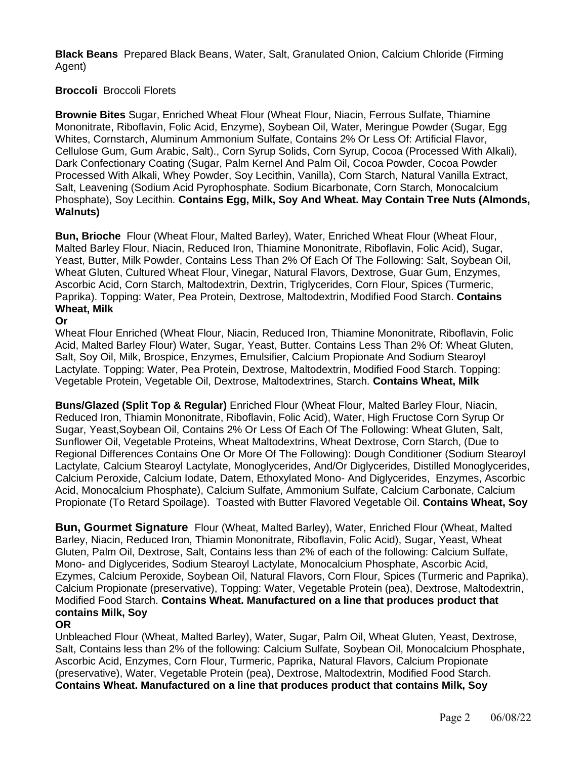**Black Beans** Prepared Black Beans, Water, Salt, Granulated Onion, Calcium Chloride (Firming Agent)

# **Broccoli** Broccoli Florets

**Brownie Bites** Sugar, Enriched Wheat Flour (Wheat Flour, Niacin, Ferrous Sulfate, Thiamine Mononitrate, Riboflavin, Folic Acid, Enzyme), Soybean Oil, Water, Meringue Powder (Sugar, Egg Whites, Cornstarch, Aluminum Ammonium Sulfate, Contains 2% Or Less Of: Artificial Flavor, Cellulose Gum, Gum Arabic, Salt)., Corn Syrup Solids, Corn Syrup, Cocoa (Processed With Alkali), Dark Confectionary Coating (Sugar, Palm Kernel And Palm Oil, Cocoa Powder, Cocoa Powder Processed With Alkali, Whey Powder, Soy Lecithin, Vanilla), Corn Starch, Natural Vanilla Extract, Salt, Leavening (Sodium Acid Pyrophosphate. Sodium Bicarbonate, Corn Starch, Monocalcium Phosphate), Soy Lecithin. **Contains Egg, Milk, Soy And Wheat. May Contain Tree Nuts (Almonds, Walnuts)**

**Bun, Brioche** Flour (Wheat Flour, Malted Barley), Water, Enriched Wheat Flour (Wheat Flour, Malted Barley Flour, Niacin, Reduced Iron, Thiamine Mononitrate, Riboflavin, Folic Acid), Sugar, Yeast, Butter, Milk Powder, Contains Less Than 2% Of Each Of The Following: Salt, Soybean Oil, Wheat Gluten, Cultured Wheat Flour, Vinegar, Natural Flavors, Dextrose, Guar Gum, Enzymes, Ascorbic Acid, Corn Starch, Maltodextrin, Dextrin, Triglycerides, Corn Flour, Spices (Turmeric, Paprika). Topping: Water, Pea Protein, Dextrose, Maltodextrin, Modified Food Starch. **Contains Wheat, Milk**

# **Or**

Wheat Flour Enriched (Wheat Flour, Niacin, Reduced Iron, Thiamine Mononitrate, Riboflavin, Folic Acid, Malted Barley Flour) Water, Sugar, Yeast, Butter. Contains Less Than 2% Of: Wheat Gluten, Salt, Soy Oil, Milk, Brospice, Enzymes, Emulsifier, Calcium Propionate And Sodium Stearoyl Lactylate. Topping: Water, Pea Protein, Dextrose, Maltodextrin, Modified Food Starch. Topping: Vegetable Protein, Vegetable Oil, Dextrose, Maltodextrines, Starch. **Contains Wheat, Milk**

**Buns/Glazed (Split Top & Regular)** Enriched Flour (Wheat Flour, Malted Barley Flour, Niacin, Reduced Iron, Thiamin Mononitrate, Riboflavin, Folic Acid), Water, High Fructose Corn Syrup Or Sugar, Yeast,Soybean Oil, Contains 2% Or Less Of Each Of The Following: Wheat Gluten, Salt, Sunflower Oil, Vegetable Proteins, Wheat Maltodextrins, Wheat Dextrose, Corn Starch, (Due to Regional Differences Contains One Or More Of The Following): Dough Conditioner (Sodium Stearoyl Lactylate, Calcium Stearoyl Lactylate, Monoglycerides, And/Or Diglycerides, Distilled Monoglycerides, Calcium Peroxide, Calcium Iodate, Datem, Ethoxylated Mono- And Diglycerides, Enzymes, Ascorbic Acid, Monocalcium Phosphate), Calcium Sulfate, Ammonium Sulfate, Calcium Carbonate, Calcium Propionate (To Retard Spoilage). Toasted with Butter Flavored Vegetable Oil. **Contains Wheat, Soy**

**Bun, Gourmet Signature** Flour (Wheat, Malted Barley), Water, Enriched Flour (Wheat, Malted Barley, Niacin, Reduced Iron, Thiamin Mononitrate, Riboflavin, Folic Acid), Sugar, Yeast, Wheat Gluten, Palm Oil, Dextrose, Salt, Contains less than 2% of each of the following: Calcium Sulfate, Mono- and Diglycerides, Sodium Stearoyl Lactylate, Monocalcium Phosphate, Ascorbic Acid, Ezymes, Calcium Peroxide, Soybean Oil, Natural Flavors, Corn Flour, Spices (Turmeric and Paprika), Calcium Propionate (preservative), Topping: Water, Vegetable Protein (pea), Dextrose, Maltodextrin, Modified Food Starch. **Contains Wheat. Manufactured on a line that produces product that contains Milk, Soy**

# **OR**

Unbleached Flour (Wheat, Malted Barley), Water, Sugar, Palm Oil, Wheat Gluten, Yeast, Dextrose, Salt, Contains less than 2% of the following: Calcium Sulfate, Soybean Oil, Monocalcium Phosphate, Ascorbic Acid, Enzymes, Corn Flour, Turmeric, Paprika, Natural Flavors, Calcium Propionate (preservative), Water, Vegetable Protein (pea), Dextrose, Maltodextrin, Modified Food Starch. **Contains Wheat. Manufactured on a line that produces product that contains Milk, Soy**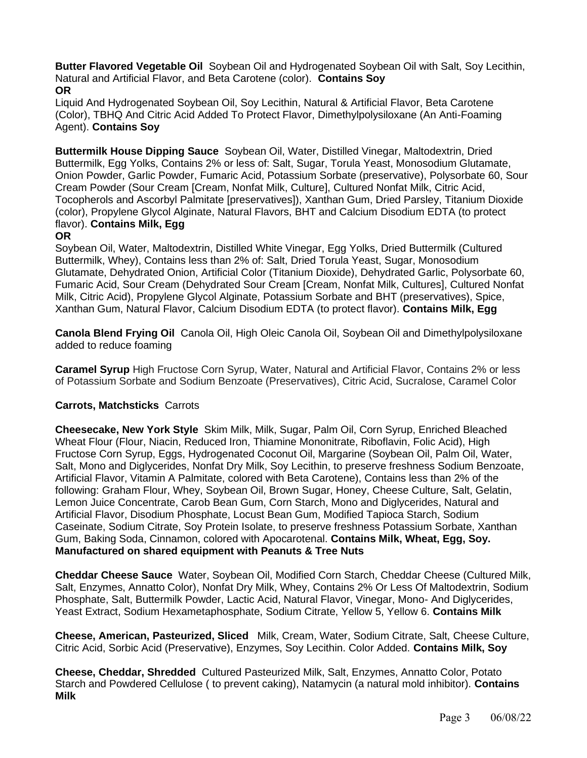**Butter Flavored Vegetable Oil** Soybean Oil and Hydrogenated Soybean Oil with Salt, Soy Lecithin, Natural and Artificial Flavor, and Beta Carotene (color). **Contains Soy OR**

Liquid And Hydrogenated Soybean Oil, Soy Lecithin, Natural & Artificial Flavor, Beta Carotene (Color), TBHQ And Citric Acid Added To Protect Flavor, Dimethylpolysiloxane (An Anti-Foaming Agent). **Contains Soy**

**Buttermilk House Dipping Sauce** Soybean Oil, Water, Distilled Vinegar, Maltodextrin, Dried Buttermilk, Egg Yolks, Contains 2% or less of: Salt, Sugar, Torula Yeast, Monosodium Glutamate, Onion Powder, Garlic Powder, Fumaric Acid, Potassium Sorbate (preservative), Polysorbate 60, Sour Cream Powder (Sour Cream [Cream, Nonfat Milk, Culture], Cultured Nonfat Milk, Citric Acid, Tocopherols and Ascorbyl Palmitate [preservatives]), Xanthan Gum, Dried Parsley, Titanium Dioxide (color), Propylene Glycol Alginate, Natural Flavors, BHT and Calcium Disodium EDTA (to protect flavor). **Contains Milk, Egg**

### **OR**

Soybean Oil, Water, Maltodextrin, Distilled White Vinegar, Egg Yolks, Dried Buttermilk (Cultured Buttermilk, Whey), Contains less than 2% of: Salt, Dried Torula Yeast, Sugar, Monosodium Glutamate, Dehydrated Onion, Artificial Color (Titanium Dioxide), Dehydrated Garlic, Polysorbate 60, Fumaric Acid, Sour Cream (Dehydrated Sour Cream [Cream, Nonfat Milk, Cultures], Cultured Nonfat Milk, Citric Acid), Propylene Glycol Alginate, Potassium Sorbate and BHT (preservatives), Spice, Xanthan Gum, Natural Flavor, Calcium Disodium EDTA (to protect flavor). **Contains Milk, Egg**

**Canola Blend Frying Oil** Canola Oil, High Oleic Canola Oil, Soybean Oil and Dimethylpolysiloxane added to reduce foaming

**Caramel Syrup** High Fructose Corn Syrup, Water, Natural and Artificial Flavor, Contains 2% or less of Potassium Sorbate and Sodium Benzoate (Preservatives), Citric Acid, Sucralose, Caramel Color

# **Carrots, Matchsticks** Carrots

**Cheesecake, New York Style** Skim Milk, Milk, Sugar, Palm Oil, Corn Syrup, Enriched Bleached Wheat Flour (Flour, Niacin, Reduced Iron, Thiamine Mononitrate, Riboflavin, Folic Acid), High Fructose Corn Syrup, Eggs, Hydrogenated Coconut Oil, Margarine (Soybean Oil, Palm Oil, Water, Salt, Mono and Diglycerides, Nonfat Dry Milk, Soy Lecithin, to preserve freshness Sodium Benzoate, Artificial Flavor, Vitamin A Palmitate, colored with Beta Carotene), Contains less than 2% of the following: Graham Flour, Whey, Soybean Oil, Brown Sugar, Honey, Cheese Culture, Salt, Gelatin, Lemon Juice Concentrate, Carob Bean Gum, Corn Starch, Mono and Diglycerides, Natural and Artificial Flavor, Disodium Phosphate, Locust Bean Gum, Modified Tapioca Starch, Sodium Caseinate, Sodium Citrate, Soy Protein Isolate, to preserve freshness Potassium Sorbate, Xanthan Gum, Baking Soda, Cinnamon, colored with Apocarotenal. **Contains Milk, Wheat, Egg, Soy. Manufactured on shared equipment with Peanuts & Tree Nuts**

**Cheddar Cheese Sauce** Water, Soybean Oil, Modified Corn Starch, Cheddar Cheese (Cultured Milk, Salt, Enzymes, Annatto Color), Nonfat Dry Milk, Whey, Contains 2% Or Less Of Maltodextrin, Sodium Phosphate, Salt, Buttermilk Powder, Lactic Acid, Natural Flavor, Vinegar, Mono- And Diglycerides, Yeast Extract, Sodium Hexametaphosphate, Sodium Citrate, Yellow 5, Yellow 6. **Contains Milk**

**Cheese, American, Pasteurized, Sliced** Milk, Cream, Water, Sodium Citrate, Salt, Cheese Culture, Citric Acid, Sorbic Acid (Preservative), Enzymes, Soy Lecithin. Color Added. **Contains Milk, Soy**

**Cheese, Cheddar, Shredded** Cultured Pasteurized Milk, Salt, Enzymes, Annatto Color, Potato Starch and Powdered Cellulose ( to prevent caking), Natamycin (a natural mold inhibitor). **Contains Milk**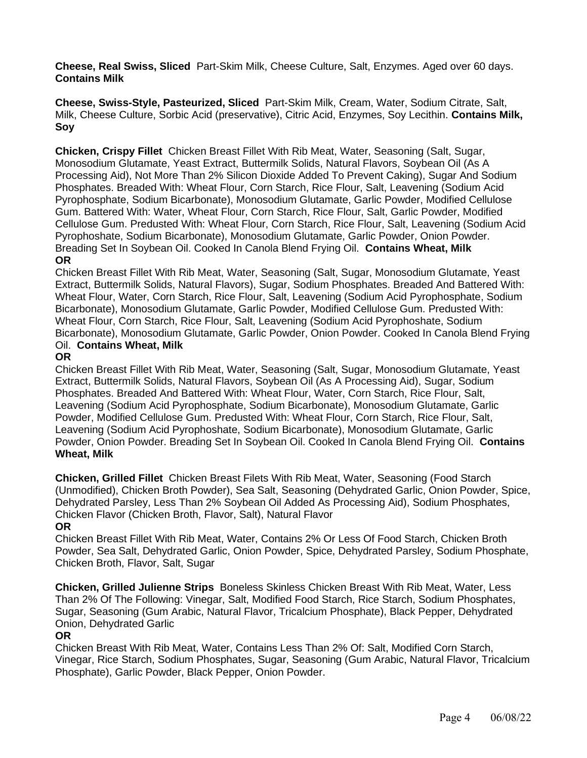**Cheese, Real Swiss, Sliced** Part-Skim Milk, Cheese Culture, Salt, Enzymes. Aged over 60 days. **Contains Milk**

**Cheese, Swiss-Style, Pasteurized, Sliced** Part-Skim Milk, Cream, Water, Sodium Citrate, Salt, Milk, Cheese Culture, Sorbic Acid (preservative), Citric Acid, Enzymes, Soy Lecithin. **Contains Milk, Soy**

**Chicken, Crispy Fillet** Chicken Breast Fillet With Rib Meat, Water, Seasoning (Salt, Sugar, Monosodium Glutamate, Yeast Extract, Buttermilk Solids, Natural Flavors, Soybean Oil (As A Processing Aid), Not More Than 2% Silicon Dioxide Added To Prevent Caking), Sugar And Sodium Phosphates. Breaded With: Wheat Flour, Corn Starch, Rice Flour, Salt, Leavening (Sodium Acid Pyrophosphate, Sodium Bicarbonate), Monosodium Glutamate, Garlic Powder, Modified Cellulose Gum. Battered With: Water, Wheat Flour, Corn Starch, Rice Flour, Salt, Garlic Powder, Modified Cellulose Gum. Predusted With: Wheat Flour, Corn Starch, Rice Flour, Salt, Leavening (Sodium Acid Pyrophoshate, Sodium Bicarbonate), Monosodium Glutamate, Garlic Powder, Onion Powder. Breading Set In Soybean Oil. Cooked In Canola Blend Frying Oil. **Contains Wheat, Milk OR**

Chicken Breast Fillet With Rib Meat, Water, Seasoning (Salt, Sugar, Monosodium Glutamate, Yeast Extract, Buttermilk Solids, Natural Flavors), Sugar, Sodium Phosphates. Breaded And Battered With: Wheat Flour, Water, Corn Starch, Rice Flour, Salt, Leavening (Sodium Acid Pyrophosphate, Sodium Bicarbonate), Monosodium Glutamate, Garlic Powder, Modified Cellulose Gum. Predusted With: Wheat Flour, Corn Starch, Rice Flour, Salt, Leavening (Sodium Acid Pyrophoshate, Sodium Bicarbonate), Monosodium Glutamate, Garlic Powder, Onion Powder. Cooked In Canola Blend Frying Oil. **Contains Wheat, Milk**

# **OR**

Chicken Breast Fillet With Rib Meat, Water, Seasoning (Salt, Sugar, Monosodium Glutamate, Yeast Extract, Buttermilk Solids, Natural Flavors, Soybean Oil (As A Processing Aid), Sugar, Sodium Phosphates. Breaded And Battered With: Wheat Flour, Water, Corn Starch, Rice Flour, Salt, Leavening (Sodium Acid Pyrophosphate, Sodium Bicarbonate), Monosodium Glutamate, Garlic Powder, Modified Cellulose Gum. Predusted With: Wheat Flour, Corn Starch, Rice Flour, Salt, Leavening (Sodium Acid Pyrophoshate, Sodium Bicarbonate), Monosodium Glutamate, Garlic Powder, Onion Powder. Breading Set In Soybean Oil. Cooked In Canola Blend Frying Oil. **Contains Wheat, Milk**

**Chicken, Grilled Fillet** Chicken Breast Filets With Rib Meat, Water, Seasoning (Food Starch (Unmodified), Chicken Broth Powder), Sea Salt, Seasoning (Dehydrated Garlic, Onion Powder, Spice, Dehydrated Parsley, Less Than 2% Soybean Oil Added As Processing Aid), Sodium Phosphates, Chicken Flavor (Chicken Broth, Flavor, Salt), Natural Flavor

# **OR**

Chicken Breast Fillet With Rib Meat, Water, Contains 2% Or Less Of Food Starch, Chicken Broth Powder, Sea Salt, Dehydrated Garlic, Onion Powder, Spice, Dehydrated Parsley, Sodium Phosphate, Chicken Broth, Flavor, Salt, Sugar

**Chicken, Grilled Julienne Strips** Boneless Skinless Chicken Breast With Rib Meat, Water, Less Than 2% Of The Following: Vinegar, Salt, Modified Food Starch, Rice Starch, Sodium Phosphates, Sugar, Seasoning (Gum Arabic, Natural Flavor, Tricalcium Phosphate), Black Pepper, Dehydrated Onion, Dehydrated Garlic

# **OR**

Chicken Breast With Rib Meat, Water, Contains Less Than 2% Of: Salt, Modified Corn Starch, Vinegar, Rice Starch, Sodium Phosphates, Sugar, Seasoning (Gum Arabic, Natural Flavor, Tricalcium Phosphate), Garlic Powder, Black Pepper, Onion Powder.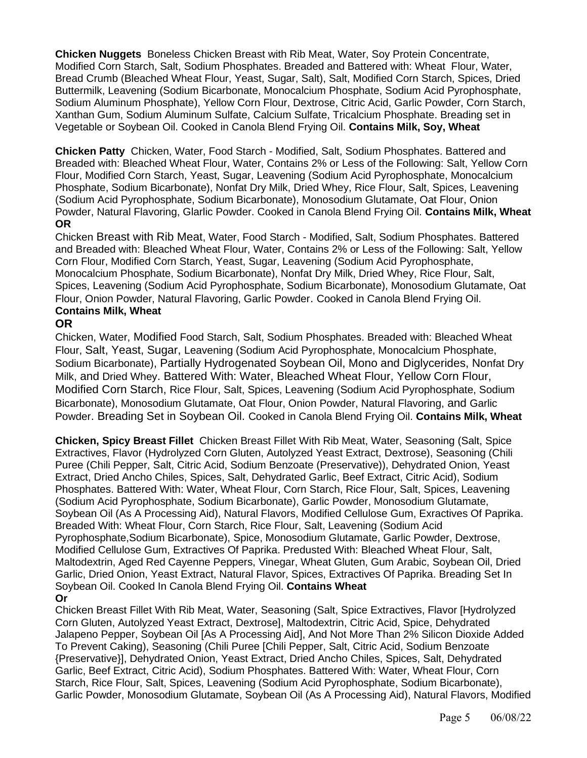**Chicken Nuggets** Boneless Chicken Breast with Rib Meat, Water, Soy Protein Concentrate, Modified Corn Starch, Salt, Sodium Phosphates. Breaded and Battered with: Wheat Flour, Water, Bread Crumb (Bleached Wheat Flour, Yeast, Sugar, Salt), Salt, Modified Corn Starch, Spices, Dried Buttermilk, Leavening (Sodium Bicarbonate, Monocalcium Phosphate, Sodium Acid Pyrophosphate, Sodium Aluminum Phosphate), Yellow Corn Flour, Dextrose, Citric Acid, Garlic Powder, Corn Starch, Xanthan Gum, Sodium Aluminum Sulfate, Calcium Sulfate, Tricalcium Phosphate. Breading set in Vegetable or Soybean Oil. Cooked in Canola Blend Frying Oil. **Contains Milk, Soy, Wheat**

**Chicken Patty** Chicken, Water, Food Starch - Modified, Salt, Sodium Phosphates. Battered and Breaded with: Bleached Wheat Flour, Water, Contains 2% or Less of the Following: Salt, Yellow Corn Flour, Modified Corn Starch, Yeast, Sugar, Leavening (Sodium Acid Pyrophosphate, Monocalcium Phosphate, Sodium Bicarbonate), Nonfat Dry Milk, Dried Whey, Rice Flour, Salt, Spices, Leavening (Sodium Acid Pyrophosphate, Sodium Bicarbonate), Monosodium Glutamate, Oat Flour, Onion Powder, Natural Flavoring, Glarlic Powder. Cooked in Canola Blend Frying Oil. **Contains Milk, Wheat OR**

Chicken Breast with Rib Meat, Water, Food Starch - Modified, Salt, Sodium Phosphates. Battered and Breaded with: Bleached Wheat Flour, Water, Contains 2% or Less of the Following: Salt, Yellow Corn Flour, Modified Corn Starch, Yeast, Sugar, Leavening (Sodium Acid Pyrophosphate, Monocalcium Phosphate, Sodium Bicarbonate), Nonfat Dry Milk, Dried Whey, Rice Flour, Salt, Spices, Leavening (Sodium Acid Pyrophosphate, Sodium Bicarbonate), Monosodium Glutamate, Oat Flour, Onion Powder, Natural Flavoring, Garlic Powder. Cooked in Canola Blend Frying Oil. **Contains Milk, Wheat**

# **OR**

Chicken, Water, Modified Food Starch, Salt, Sodium Phosphates. Breaded with: Bleached Wheat Flour, Salt, Yeast, Sugar, Leavening (Sodium Acid Pyrophosphate, Monocalcium Phosphate, Sodium Bicarbonate), Partially Hydrogenated Soybean Oil, Mono and Diglycerides, Nonfat Dry Milk, and Dried Whey. Battered With: Water, Bleached Wheat Flour, Yellow Corn Flour, Modified Corn Starch, Rice Flour, Salt, Spices, Leavening (Sodium Acid Pyrophosphate, Sodium Bicarbonate), Monosodium Glutamate, Oat Flour, Onion Powder, Natural Flavoring, and Garlic Powder. Breading Set in Soybean Oil. Cooked in Canola Blend Frying Oil. **Contains Milk, Wheat**

**Chicken, Spicy Breast Fillet** Chicken Breast Fillet With Rib Meat, Water, Seasoning (Salt, Spice Extractives, Flavor (Hydrolyzed Corn Gluten, Autolyzed Yeast Extract, Dextrose), Seasoning (Chili Puree (Chili Pepper, Salt, Citric Acid, Sodium Benzoate (Preservative)), Dehydrated Onion, Yeast Extract, Dried Ancho Chiles, Spices, Salt, Dehydrated Garlic, Beef Extract, Citric Acid), Sodium Phosphates. Battered With: Water, Wheat Flour, Corn Starch, Rice Flour, Salt, Spices, Leavening (Sodium Acid Pyrophosphate, Sodium Bicarbonate), Garlic Powder, Monosodium Glutamate, Soybean Oil (As A Processing Aid), Natural Flavors, Modified Cellulose Gum, Exractives Of Paprika. Breaded With: Wheat Flour, Corn Starch, Rice Flour, Salt, Leavening (Sodium Acid Pyrophosphate,Sodium Bicarbonate), Spice, Monosodium Glutamate, Garlic Powder, Dextrose, Modified Cellulose Gum, Extractives Of Paprika. Predusted With: Bleached Wheat Flour, Salt, Maltodextrin, Aged Red Cayenne Peppers, Vinegar, Wheat Gluten, Gum Arabic, Soybean Oil, Dried Garlic, Dried Onion, Yeast Extract, Natural Flavor, Spices, Extractives Of Paprika. Breading Set In Soybean Oil. Cooked In Canola Blend Frying Oil. **Contains Wheat Or**

Chicken Breast Fillet With Rib Meat, Water, Seasoning (Salt, Spice Extractives, Flavor [Hydrolyzed Corn Gluten, Autolyzed Yeast Extract, Dextrose], Maltodextrin, Citric Acid, Spice, Dehydrated Jalapeno Pepper, Soybean Oil [As A Processing Aid], And Not More Than 2% Silicon Dioxide Added To Prevent Caking), Seasoning (Chili Puree [Chili Pepper, Salt, Citric Acid, Sodium Benzoate {Preservative}], Dehydrated Onion, Yeast Extract, Dried Ancho Chiles, Spices, Salt, Dehydrated Garlic, Beef Extract, Citric Acid), Sodium Phosphates. Battered With: Water, Wheat Flour, Corn Starch, Rice Flour, Salt, Spices, Leavening (Sodium Acid Pyrophosphate, Sodium Bicarbonate), Garlic Powder, Monosodium Glutamate, Soybean Oil (As A Processing Aid), Natural Flavors, Modified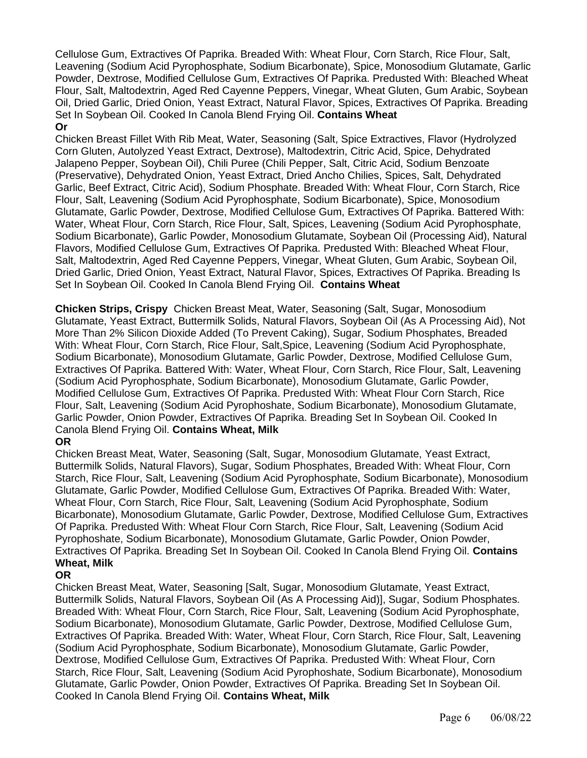Cellulose Gum, Extractives Of Paprika. Breaded With: Wheat Flour, Corn Starch, Rice Flour, Salt, Leavening (Sodium Acid Pyrophosphate, Sodium Bicarbonate), Spice, Monosodium Glutamate, Garlic Powder, Dextrose, Modified Cellulose Gum, Extractives Of Paprika. Predusted With: Bleached Wheat Flour, Salt, Maltodextrin, Aged Red Cayenne Peppers, Vinegar, Wheat Gluten, Gum Arabic, Soybean Oil, Dried Garlic, Dried Onion, Yeast Extract, Natural Flavor, Spices, Extractives Of Paprika. Breading Set In Soybean Oil. Cooked In Canola Blend Frying Oil. **Contains Wheat Or**

Chicken Breast Fillet With Rib Meat, Water, Seasoning (Salt, Spice Extractives, Flavor (Hydrolyzed Corn Gluten, Autolyzed Yeast Extract, Dextrose), Maltodextrin, Citric Acid, Spice, Dehydrated Jalapeno Pepper, Soybean Oil), Chili Puree (Chili Pepper, Salt, Citric Acid, Sodium Benzoate (Preservative), Dehydrated Onion, Yeast Extract, Dried Ancho Chilies, Spices, Salt, Dehydrated Garlic, Beef Extract, Citric Acid), Sodium Phosphate. Breaded With: Wheat Flour, Corn Starch, Rice Flour, Salt, Leavening (Sodium Acid Pyrophosphate, Sodium Bicarbonate), Spice, Monosodium Glutamate, Garlic Powder, Dextrose, Modified Cellulose Gum, Extractives Of Paprika. Battered With: Water, Wheat Flour, Corn Starch, Rice Flour, Salt, Spices, Leavening (Sodium Acid Pyrophosphate, Sodium Bicarbonate), Garlic Powder, Monosodium Glutamate, Soybean Oil (Processing Aid), Natural Flavors, Modified Cellulose Gum, Extractives Of Paprika. Predusted With: Bleached Wheat Flour, Salt, Maltodextrin, Aged Red Cayenne Peppers, Vinegar, Wheat Gluten, Gum Arabic, Soybean Oil, Dried Garlic, Dried Onion, Yeast Extract, Natural Flavor, Spices, Extractives Of Paprika. Breading Is Set In Soybean Oil. Cooked In Canola Blend Frying Oil. **Contains Wheat**

**Chicken Strips, Crispy** Chicken Breast Meat, Water, Seasoning (Salt, Sugar, Monosodium Glutamate, Yeast Extract, Buttermilk Solids, Natural Flavors, Soybean Oil (As A Processing Aid), Not More Than 2% Silicon Dioxide Added (To Prevent Caking), Sugar, Sodium Phosphates, Breaded With: Wheat Flour, Corn Starch, Rice Flour, Salt,Spice, Leavening (Sodium Acid Pyrophosphate, Sodium Bicarbonate), Monosodium Glutamate, Garlic Powder, Dextrose, Modified Cellulose Gum, Extractives Of Paprika. Battered With: Water, Wheat Flour, Corn Starch, Rice Flour, Salt, Leavening (Sodium Acid Pyrophosphate, Sodium Bicarbonate), Monosodium Glutamate, Garlic Powder, Modified Cellulose Gum, Extractives Of Paprika. Predusted With: Wheat Flour Corn Starch, Rice Flour, Salt, Leavening (Sodium Acid Pyrophoshate, Sodium Bicarbonate), Monosodium Glutamate, Garlic Powder, Onion Powder, Extractives Of Paprika. Breading Set In Soybean Oil. Cooked In Canola Blend Frying Oil. **Contains Wheat, Milk**

# **OR**

Chicken Breast Meat, Water, Seasoning (Salt, Sugar, Monosodium Glutamate, Yeast Extract, Buttermilk Solids, Natural Flavors), Sugar, Sodium Phosphates, Breaded With: Wheat Flour, Corn Starch, Rice Flour, Salt, Leavening (Sodium Acid Pyrophosphate, Sodium Bicarbonate), Monosodium Glutamate, Garlic Powder, Modified Cellulose Gum, Extractives Of Paprika. Breaded With: Water, Wheat Flour, Corn Starch, Rice Flour, Salt, Leavening (Sodium Acid Pyrophosphate, Sodium Bicarbonate), Monosodium Glutamate, Garlic Powder, Dextrose, Modified Cellulose Gum, Extractives Of Paprika. Predusted With: Wheat Flour Corn Starch, Rice Flour, Salt, Leavening (Sodium Acid Pyrophoshate, Sodium Bicarbonate), Monosodium Glutamate, Garlic Powder, Onion Powder, Extractives Of Paprika. Breading Set In Soybean Oil. Cooked In Canola Blend Frying Oil. **Contains Wheat, Milk**

# **OR**

Chicken Breast Meat, Water, Seasoning [Salt, Sugar, Monosodium Glutamate, Yeast Extract, Buttermilk Solids, Natural Flavors, Soybean Oil (As A Processing Aid)], Sugar, Sodium Phosphates. Breaded With: Wheat Flour, Corn Starch, Rice Flour, Salt, Leavening (Sodium Acid Pyrophosphate, Sodium Bicarbonate), Monosodium Glutamate, Garlic Powder, Dextrose, Modified Cellulose Gum, Extractives Of Paprika. Breaded With: Water, Wheat Flour, Corn Starch, Rice Flour, Salt, Leavening (Sodium Acid Pyrophosphate, Sodium Bicarbonate), Monosodium Glutamate, Garlic Powder, Dextrose, Modified Cellulose Gum, Extractives Of Paprika. Predusted With: Wheat Flour, Corn Starch, Rice Flour, Salt, Leavening (Sodium Acid Pyrophoshate, Sodium Bicarbonate), Monosodium Glutamate, Garlic Powder, Onion Powder, Extractives Of Paprika. Breading Set In Soybean Oil. Cooked In Canola Blend Frying Oil. **Contains Wheat, Milk**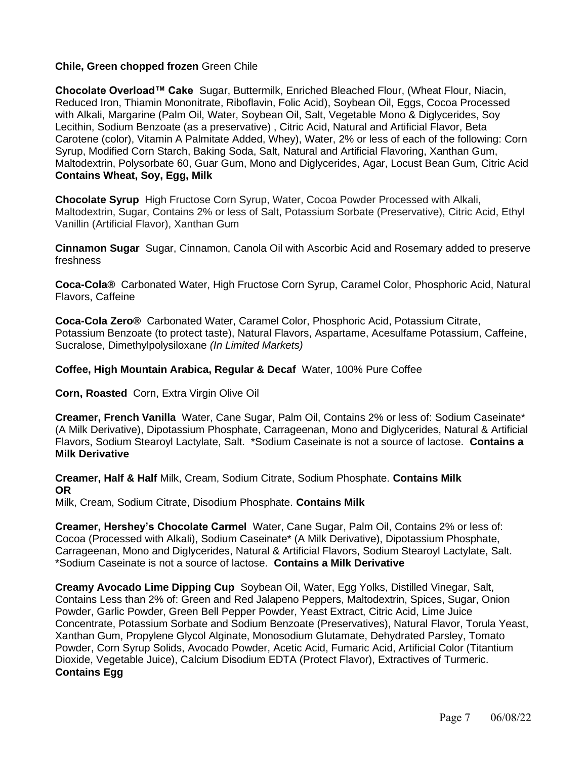### **Chile, Green chopped frozen** Green Chile

**Chocolate Overload™ Cake** Sugar, Buttermilk, Enriched Bleached Flour, (Wheat Flour, Niacin, Reduced Iron, Thiamin Mononitrate, Riboflavin, Folic Acid), Soybean Oil, Eggs, Cocoa Processed with Alkali, Margarine (Palm Oil, Water, Soybean Oil, Salt, Vegetable Mono & Diglycerides, Soy Lecithin, Sodium Benzoate (as a preservative) , Citric Acid, Natural and Artificial Flavor, Beta Carotene (color), Vitamin A Palmitate Added, Whey), Water, 2% or less of each of the following: Corn Syrup, Modified Corn Starch, Baking Soda, Salt, Natural and Artificial Flavoring, Xanthan Gum, Maltodextrin, Polysorbate 60, Guar Gum, Mono and Diglycerides, Agar, Locust Bean Gum, Citric Acid **Contains Wheat, Soy, Egg, Milk**

**Chocolate Syrup** High Fructose Corn Syrup, Water, Cocoa Powder Processed with Alkali, Maltodextrin, Sugar, Contains 2% or less of Salt, Potassium Sorbate (Preservative), Citric Acid, Ethyl Vanillin (Artificial Flavor), Xanthan Gum

**Cinnamon Sugar** Sugar, Cinnamon, Canola Oil with Ascorbic Acid and Rosemary added to preserve freshness

**Coca-Cola®** Carbonated Water, High Fructose Corn Syrup, Caramel Color, Phosphoric Acid, Natural Flavors, Caffeine

**Coca-Cola Zero®** Carbonated Water, Caramel Color, Phosphoric Acid, Potassium Citrate, Potassium Benzoate (to protect taste), Natural Flavors, Aspartame, Acesulfame Potassium, Caffeine, Sucralose, Dimethylpolysiloxane *(In Limited Markets)*

**Coffee, High Mountain Arabica, Regular & Decaf** Water, 100% Pure Coffee

**Corn, Roasted** Corn, Extra Virgin Olive Oil

**Creamer, French Vanilla** Water, Cane Sugar, Palm Oil, Contains 2% or less of: Sodium Caseinate\* (A Milk Derivative), Dipotassium Phosphate, Carrageenan, Mono and Diglycerides, Natural & Artificial Flavors, Sodium Stearoyl Lactylate, Salt. \*Sodium Caseinate is not a source of lactose. **Contains a Milk Derivative**

**Creamer, Half & Half** Milk, Cream, Sodium Citrate, Sodium Phosphate. **Contains Milk OR**

Milk, Cream, Sodium Citrate, Disodium Phosphate. **Contains Milk**

**Creamer, Hershey's Chocolate Carmel** Water, Cane Sugar, Palm Oil, Contains 2% or less of: Cocoa (Processed with Alkali), Sodium Caseinate\* (A Milk Derivative), Dipotassium Phosphate, Carrageenan, Mono and Diglycerides, Natural & Artificial Flavors, Sodium Stearoyl Lactylate, Salt. \*Sodium Caseinate is not a source of lactose. **Contains a Milk Derivative**

**Creamy Avocado Lime Dipping Cup** Soybean Oil, Water, Egg Yolks, Distilled Vinegar, Salt, Contains Less than 2% of: Green and Red Jalapeno Peppers, Maltodextrin, Spices, Sugar, Onion Powder, Garlic Powder, Green Bell Pepper Powder, Yeast Extract, Citric Acid, Lime Juice Concentrate, Potassium Sorbate and Sodium Benzoate (Preservatives), Natural Flavor, Torula Yeast, Xanthan Gum, Propylene Glycol Alginate, Monosodium Glutamate, Dehydrated Parsley, Tomato Powder, Corn Syrup Solids, Avocado Powder, Acetic Acid, Fumaric Acid, Artificial Color (Titantium Dioxide, Vegetable Juice), Calcium Disodium EDTA (Protect Flavor), Extractives of Turmeric. **Contains Egg**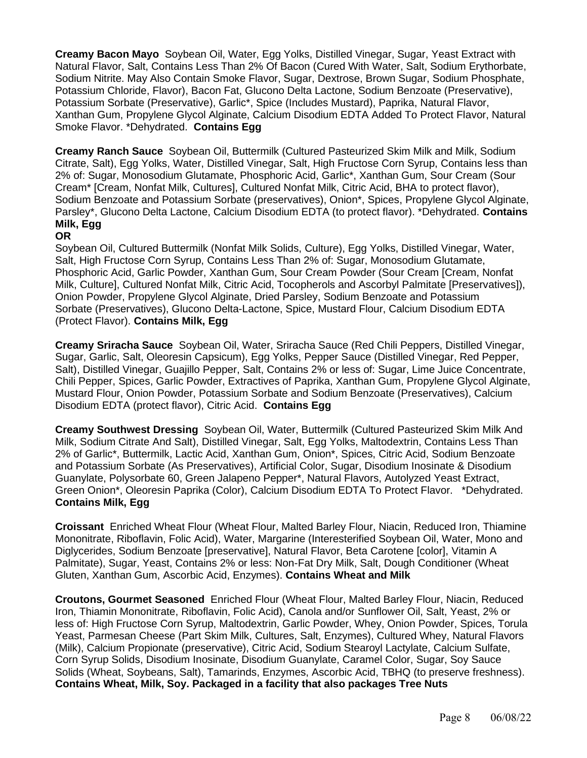**Creamy Bacon Mayo** Soybean Oil, Water, Egg Yolks, Distilled Vinegar, Sugar, Yeast Extract with Natural Flavor, Salt, Contains Less Than 2% Of Bacon (Cured With Water, Salt, Sodium Erythorbate, Sodium Nitrite. May Also Contain Smoke Flavor, Sugar, Dextrose, Brown Sugar, Sodium Phosphate, Potassium Chloride, Flavor), Bacon Fat, Glucono Delta Lactone, Sodium Benzoate (Preservative), Potassium Sorbate (Preservative), Garlic\*, Spice (Includes Mustard), Paprika, Natural Flavor, Xanthan Gum, Propylene Glycol Alginate, Calcium Disodium EDTA Added To Protect Flavor, Natural Smoke Flavor. \*Dehydrated. **Contains Egg**

**Creamy Ranch Sauce** Soybean Oil, Buttermilk (Cultured Pasteurized Skim Milk and Milk, Sodium Citrate, Salt), Egg Yolks, Water, Distilled Vinegar, Salt, High Fructose Corn Syrup, Contains less than 2% of: Sugar, Monosodium Glutamate, Phosphoric Acid, Garlic\*, Xanthan Gum, Sour Cream (Sour Cream\* [Cream, Nonfat Milk, Cultures], Cultured Nonfat Milk, Citric Acid, BHA to protect flavor), Sodium Benzoate and Potassium Sorbate (preservatives), Onion\*, Spices, Propylene Glycol Alginate, Parsley\*, Glucono Delta Lactone, Calcium Disodium EDTA (to protect flavor). \*Dehydrated. **Contains Milk, Egg**

### **OR**

Soybean Oil, Cultured Buttermilk (Nonfat Milk Solids, Culture), Egg Yolks, Distilled Vinegar, Water, Salt, High Fructose Corn Syrup, Contains Less Than 2% of: Sugar, Monosodium Glutamate, Phosphoric Acid, Garlic Powder, Xanthan Gum, Sour Cream Powder (Sour Cream [Cream, Nonfat Milk, Culture], Cultured Nonfat Milk, Citric Acid, Tocopherols and Ascorbyl Palmitate [Preservatives]), Onion Powder, Propylene Glycol Alginate, Dried Parsley, Sodium Benzoate and Potassium Sorbate (Preservatives), Glucono Delta-Lactone, Spice, Mustard Flour, Calcium Disodium EDTA (Protect Flavor). **Contains Milk, Egg**

**Creamy Sriracha Sauce** Soybean Oil, Water, Sriracha Sauce (Red Chili Peppers, Distilled Vinegar, Sugar, Garlic, Salt, Oleoresin Capsicum), Egg Yolks, Pepper Sauce (Distilled Vinegar, Red Pepper, Salt), Distilled Vinegar, Guajillo Pepper, Salt, Contains 2% or less of: Sugar, Lime Juice Concentrate, Chili Pepper, Spices, Garlic Powder, Extractives of Paprika, Xanthan Gum, Propylene Glycol Alginate, Mustard Flour, Onion Powder, Potassium Sorbate and Sodium Benzoate (Preservatives), Calcium Disodium EDTA (protect flavor), Citric Acid. **Contains Egg**

**Creamy Southwest Dressing** Soybean Oil, Water, Buttermilk (Cultured Pasteurized Skim Milk And Milk, Sodium Citrate And Salt), Distilled Vinegar, Salt, Egg Yolks, Maltodextrin, Contains Less Than 2% of Garlic\*, Buttermilk, Lactic Acid, Xanthan Gum, Onion\*, Spices, Citric Acid, Sodium Benzoate and Potassium Sorbate (As Preservatives), Artificial Color, Sugar, Disodium Inosinate & Disodium Guanylate, Polysorbate 60, Green Jalapeno Pepper\*, Natural Flavors, Autolyzed Yeast Extract, Green Onion\*, Oleoresin Paprika (Color), Calcium Disodium EDTA To Protect Flavor. \*Dehydrated. **Contains Milk, Egg**

**Croissant** Enriched Wheat Flour (Wheat Flour, Malted Barley Flour, Niacin, Reduced Iron, Thiamine Mononitrate, Riboflavin, Folic Acid), Water, Margarine (Interesterified Soybean Oil, Water, Mono and Diglycerides, Sodium Benzoate [preservative], Natural Flavor, Beta Carotene [color], Vitamin A Palmitate), Sugar, Yeast, Contains 2% or less: Non-Fat Dry Milk, Salt, Dough Conditioner (Wheat Gluten, Xanthan Gum, Ascorbic Acid, Enzymes). **Contains Wheat and Milk**

**Croutons, Gourmet Seasoned** Enriched Flour (Wheat Flour, Malted Barley Flour, Niacin, Reduced Iron, Thiamin Mononitrate, Riboflavin, Folic Acid), Canola and/or Sunflower Oil, Salt, Yeast, 2% or less of: High Fructose Corn Syrup, Maltodextrin, Garlic Powder, Whey, Onion Powder, Spices, Torula Yeast, Parmesan Cheese (Part Skim Milk, Cultures, Salt, Enzymes), Cultured Whey, Natural Flavors (Milk), Calcium Propionate (preservative), Citric Acid, Sodium Stearoyl Lactylate, Calcium Sulfate, Corn Syrup Solids, Disodium Inosinate, Disodium Guanylate, Caramel Color, Sugar, Soy Sauce Solids (Wheat, Soybeans, Salt), Tamarinds, Enzymes, Ascorbic Acid, TBHQ (to preserve freshness). **Contains Wheat, Milk, Soy. Packaged in a facility that also packages Tree Nuts**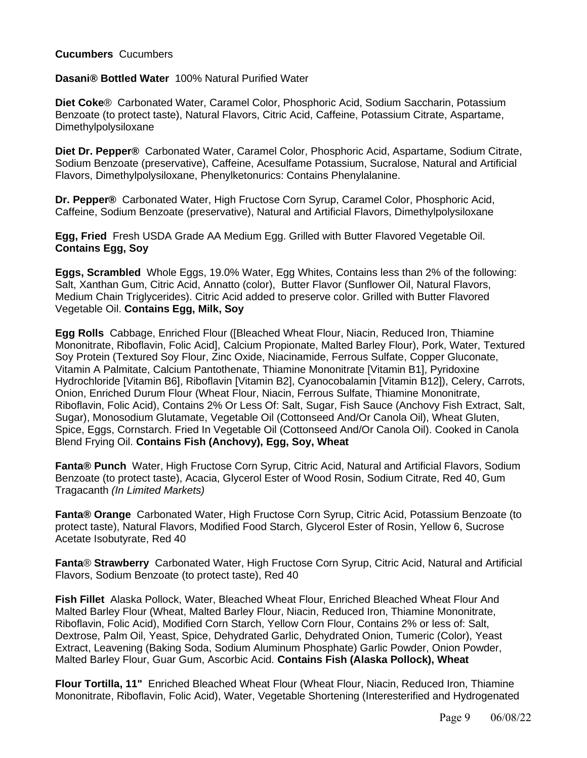### **Cucumbers** Cucumbers

### **Dasani® Bottled Water** 100% Natural Purified Water

**Diet Coke**® Carbonated Water, Caramel Color, Phosphoric Acid, Sodium Saccharin, Potassium Benzoate (to protect taste), Natural Flavors, Citric Acid, Caffeine, Potassium Citrate, Aspartame, Dimethylpolysiloxane

**Diet Dr. Pepper®** Carbonated Water, Caramel Color, Phosphoric Acid, Aspartame, Sodium Citrate, Sodium Benzoate (preservative), Caffeine, Acesulfame Potassium, Sucralose, Natural and Artificial Flavors, Dimethylpolysiloxane, Phenylketonurics: Contains Phenylalanine.

**Dr. Pepper®** Carbonated Water, High Fructose Corn Syrup, Caramel Color, Phosphoric Acid, Caffeine, Sodium Benzoate (preservative), Natural and Artificial Flavors, Dimethylpolysiloxane

**Egg, Fried** Fresh USDA Grade AA Medium Egg. Grilled with Butter Flavored Vegetable Oil. **Contains Egg, Soy** 

**Eggs, Scrambled** Whole Eggs, 19.0% Water, Egg Whites, Contains less than 2% of the following: Salt, Xanthan Gum, Citric Acid, Annatto (color), Butter Flavor (Sunflower Oil, Natural Flavors, Medium Chain Triglycerides). Citric Acid added to preserve color. Grilled with Butter Flavored Vegetable Oil. **Contains Egg, Milk, Soy**

**Egg Rolls** Cabbage, Enriched Flour ([Bleached Wheat Flour, Niacin, Reduced Iron, Thiamine Mononitrate, Riboflavin, Folic Acid], Calcium Propionate, Malted Barley Flour), Pork, Water, Textured Soy Protein (Textured Soy Flour, Zinc Oxide, Niacinamide, Ferrous Sulfate, Copper Gluconate, Vitamin A Palmitate, Calcium Pantothenate, Thiamine Mononitrate [Vitamin B1], Pyridoxine Hydrochloride [Vitamin B6], Riboflavin [Vitamin B2], Cyanocobalamin [Vitamin B12]), Celery, Carrots, Onion, Enriched Durum Flour (Wheat Flour, Niacin, Ferrous Sulfate, Thiamine Mononitrate, Riboflavin, Folic Acid), Contains 2% Or Less Of: Salt, Sugar, Fish Sauce (Anchovy Fish Extract, Salt, Sugar), Monosodium Glutamate, Vegetable Oil (Cottonseed And/Or Canola Oil), Wheat Gluten, Spice, Eggs, Cornstarch. Fried In Vegetable Oil (Cottonseed And/Or Canola Oil). Cooked in Canola Blend Frying Oil. **Contains Fish (Anchovy), Egg, Soy, Wheat**

**Fanta® Punch** Water, High Fructose Corn Syrup, Citric Acid, Natural and Artificial Flavors, Sodium Benzoate (to protect taste), Acacia, Glycerol Ester of Wood Rosin, Sodium Citrate, Red 40, Gum Tragacanth *(In Limited Markets)*

**Fanta® Orange** Carbonated Water, High Fructose Corn Syrup, Citric Acid, Potassium Benzoate (to protect taste), Natural Flavors, Modified Food Starch, Glycerol Ester of Rosin, Yellow 6, Sucrose Acetate Isobutyrate, Red 40

**Fanta**® **Strawberry** Carbonated Water, High Fructose Corn Syrup, Citric Acid, Natural and Artificial Flavors, Sodium Benzoate (to protect taste), Red 40

**Fish Fillet** Alaska Pollock, Water, Bleached Wheat Flour, Enriched Bleached Wheat Flour And Malted Barley Flour (Wheat, Malted Barley Flour, Niacin, Reduced Iron, Thiamine Mononitrate, Riboflavin, Folic Acid), Modified Corn Starch, Yellow Corn Flour, Contains 2% or less of: Salt, Dextrose, Palm Oil, Yeast, Spice, Dehydrated Garlic, Dehydrated Onion, Tumeric (Color), Yeast Extract, Leavening (Baking Soda, Sodium Aluminum Phosphate) Garlic Powder, Onion Powder, Malted Barley Flour, Guar Gum, Ascorbic Acid. **Contains Fish (Alaska Pollock), Wheat**

**Flour Tortilla, 11"** Enriched Bleached Wheat Flour (Wheat Flour, Niacin, Reduced Iron, Thiamine Mononitrate, Riboflavin, Folic Acid), Water, Vegetable Shortening (Interesterified and Hydrogenated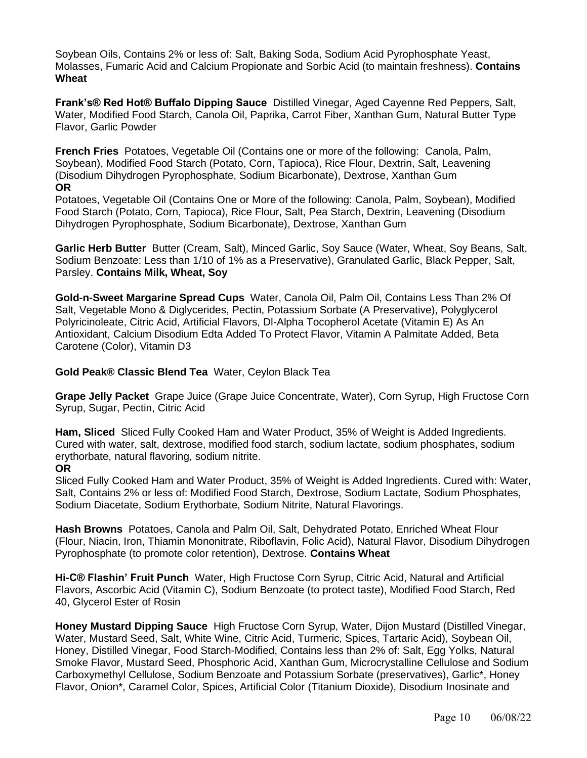Soybean Oils, Contains 2% or less of: Salt, Baking Soda, Sodium Acid Pyrophosphate Yeast, Molasses, Fumaric Acid and Calcium Propionate and Sorbic Acid (to maintain freshness). **Contains Wheat**

**Frank's® Red Hot® Buffalo Dipping Sauce** Distilled Vinegar, Aged Cayenne Red Peppers, Salt, Water, Modified Food Starch, Canola Oil, Paprika, Carrot Fiber, Xanthan Gum, Natural Butter Type Flavor, Garlic Powder

**French Fries** Potatoes, Vegetable Oil (Contains one or more of the following: Canola, Palm, Soybean), Modified Food Starch (Potato, Corn, Tapioca), Rice Flour, Dextrin, Salt, Leavening (Disodium Dihydrogen Pyrophosphate, Sodium Bicarbonate), Dextrose, Xanthan Gum **OR**

Potatoes, Vegetable Oil (Contains One or More of the following: Canola, Palm, Soybean), Modified Food Starch (Potato, Corn, Tapioca), Rice Flour, Salt, Pea Starch, Dextrin, Leavening (Disodium Dihydrogen Pyrophosphate, Sodium Bicarbonate), Dextrose, Xanthan Gum

**Garlic Herb Butter** Butter (Cream, Salt), Minced Garlic, Soy Sauce (Water, Wheat, Soy Beans, Salt, Sodium Benzoate: Less than 1/10 of 1% as a Preservative), Granulated Garlic, Black Pepper, Salt, Parsley. **Contains Milk, Wheat, Soy**

**Gold-n-Sweet Margarine Spread Cups** Water, Canola Oil, Palm Oil, Contains Less Than 2% Of Salt, Vegetable Mono & Diglycerides, Pectin, Potassium Sorbate (A Preservative), Polyglycerol Polyricinoleate, Citric Acid, Artificial Flavors, Dl-Alpha Tocopherol Acetate (Vitamin E) As An Antioxidant, Calcium Disodium Edta Added To Protect Flavor, Vitamin A Palmitate Added, Beta Carotene (Color), Vitamin D3

**Gold Peak® Classic Blend Tea** Water, Ceylon Black Tea

**Grape Jelly Packet** Grape Juice (Grape Juice Concentrate, Water), Corn Syrup, High Fructose Corn Syrup, Sugar, Pectin, Citric Acid

**Ham, Sliced** Sliced Fully Cooked Ham and Water Product, 35% of Weight is Added Ingredients. Cured with water, salt, dextrose, modified food starch, sodium lactate, sodium phosphates, sodium erythorbate, natural flavoring, sodium nitrite.

#### **OR**

Sliced Fully Cooked Ham and Water Product, 35% of Weight is Added Ingredients. Cured with: Water, Salt, Contains 2% or less of: Modified Food Starch, Dextrose, Sodium Lactate, Sodium Phosphates, Sodium Diacetate, Sodium Erythorbate, Sodium Nitrite, Natural Flavorings.

**Hash Browns** Potatoes, Canola and Palm Oil, Salt, Dehydrated Potato, Enriched Wheat Flour (Flour, Niacin, Iron, Thiamin Mononitrate, Riboflavin, Folic Acid), Natural Flavor, Disodium Dihydrogen Pyrophosphate (to promote color retention), Dextrose. **Contains Wheat**

**Hi-C® Flashin' Fruit Punch** Water, High Fructose Corn Syrup, Citric Acid, Natural and Artificial Flavors, Ascorbic Acid (Vitamin C), Sodium Benzoate (to protect taste), Modified Food Starch, Red 40, Glycerol Ester of Rosin

**Honey Mustard Dipping Sauce** High Fructose Corn Syrup, Water, Dijon Mustard (Distilled Vinegar, Water, Mustard Seed, Salt, White Wine, Citric Acid, Turmeric, Spices, Tartaric Acid), Soybean Oil, Honey, Distilled Vinegar, Food Starch-Modified, Contains less than 2% of: Salt, Egg Yolks, Natural Smoke Flavor, Mustard Seed, Phosphoric Acid, Xanthan Gum, Microcrystalline Cellulose and Sodium Carboxymethyl Cellulose, Sodium Benzoate and Potassium Sorbate (preservatives), Garlic\*, Honey Flavor, Onion\*, Caramel Color, Spices, Artificial Color (Titanium Dioxide), Disodium Inosinate and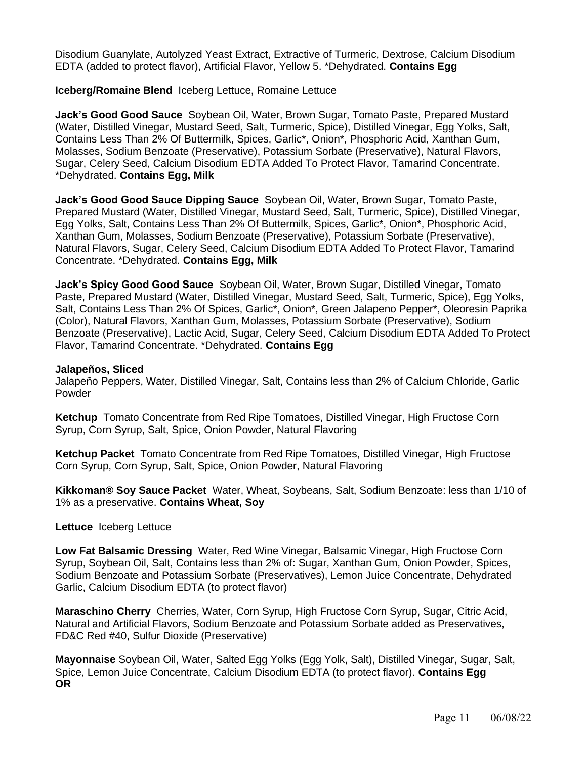Disodium Guanylate, Autolyzed Yeast Extract, Extractive of Turmeric, Dextrose, Calcium Disodium EDTA (added to protect flavor), Artificial Flavor, Yellow 5. \*Dehydrated. **Contains Egg**

### **Iceberg/Romaine Blend** Iceberg Lettuce, Romaine Lettuce

**Jack's Good Good Sauce** Soybean Oil, Water, Brown Sugar, Tomato Paste, Prepared Mustard (Water, Distilled Vinegar, Mustard Seed, Salt, Turmeric, Spice), Distilled Vinegar, Egg Yolks, Salt, Contains Less Than 2% Of Buttermilk, Spices, Garlic\*, Onion\*, Phosphoric Acid, Xanthan Gum, Molasses, Sodium Benzoate (Preservative), Potassium Sorbate (Preservative), Natural Flavors, Sugar, Celery Seed, Calcium Disodium EDTA Added To Protect Flavor, Tamarind Concentrate. \*Dehydrated. **Contains Egg, Milk**

**Jack's Good Good Sauce Dipping Sauce** Soybean Oil, Water, Brown Sugar, Tomato Paste, Prepared Mustard (Water, Distilled Vinegar, Mustard Seed, Salt, Turmeric, Spice), Distilled Vinegar, Egg Yolks, Salt, Contains Less Than 2% Of Buttermilk, Spices, Garlic\*, Onion\*, Phosphoric Acid, Xanthan Gum, Molasses, Sodium Benzoate (Preservative), Potassium Sorbate (Preservative), Natural Flavors, Sugar, Celery Seed, Calcium Disodium EDTA Added To Protect Flavor, Tamarind Concentrate. \*Dehydrated. **Contains Egg, Milk**

**Jack's Spicy Good Good Sauce** Soybean Oil, Water, Brown Sugar, Distilled Vinegar, Tomato Paste, Prepared Mustard (Water, Distilled Vinegar, Mustard Seed, Salt, Turmeric, Spice), Egg Yolks, Salt, Contains Less Than 2% Of Spices, Garlic\*, Onion\*, Green Jalapeno Pepper\*, Oleoresin Paprika (Color), Natural Flavors, Xanthan Gum, Molasses, Potassium Sorbate (Preservative), Sodium Benzoate (Preservative), Lactic Acid, Sugar, Celery Seed, Calcium Disodium EDTA Added To Protect Flavor, Tamarind Concentrate. \*Dehydrated. **Contains Egg**

#### **Jalapeños, Sliced**

Jalapeño Peppers, Water, Distilled Vinegar, Salt, Contains less than 2% of Calcium Chloride, Garlic Powder

**Ketchup** Tomato Concentrate from Red Ripe Tomatoes, Distilled Vinegar, High Fructose Corn Syrup, Corn Syrup, Salt, Spice, Onion Powder, Natural Flavoring

**Ketchup Packet** Tomato Concentrate from Red Ripe Tomatoes, Distilled Vinegar, High Fructose Corn Syrup, Corn Syrup, Salt, Spice, Onion Powder, Natural Flavoring

**Kikkoman® Soy Sauce Packet** Water, Wheat, Soybeans, Salt, Sodium Benzoate: less than 1/10 of 1% as a preservative. **Contains Wheat, Soy**

#### **Lettuce** Iceberg Lettuce

**Low Fat Balsamic Dressing** Water, Red Wine Vinegar, Balsamic Vinegar, High Fructose Corn Syrup, Soybean Oil, Salt, Contains less than 2% of: Sugar, Xanthan Gum, Onion Powder, Spices, Sodium Benzoate and Potassium Sorbate (Preservatives), Lemon Juice Concentrate, Dehydrated Garlic, Calcium Disodium EDTA (to protect flavor)

**Maraschino Cherry** Cherries, Water, Corn Syrup, High Fructose Corn Syrup, Sugar, Citric Acid, Natural and Artificial Flavors, Sodium Benzoate and Potassium Sorbate added as Preservatives, FD&C Red #40, Sulfur Dioxide (Preservative)

**Mayonnaise** Soybean Oil, Water, Salted Egg Yolks (Egg Yolk, Salt), Distilled Vinegar, Sugar, Salt, Spice, Lemon Juice Concentrate, Calcium Disodium EDTA (to protect flavor). **Contains Egg OR**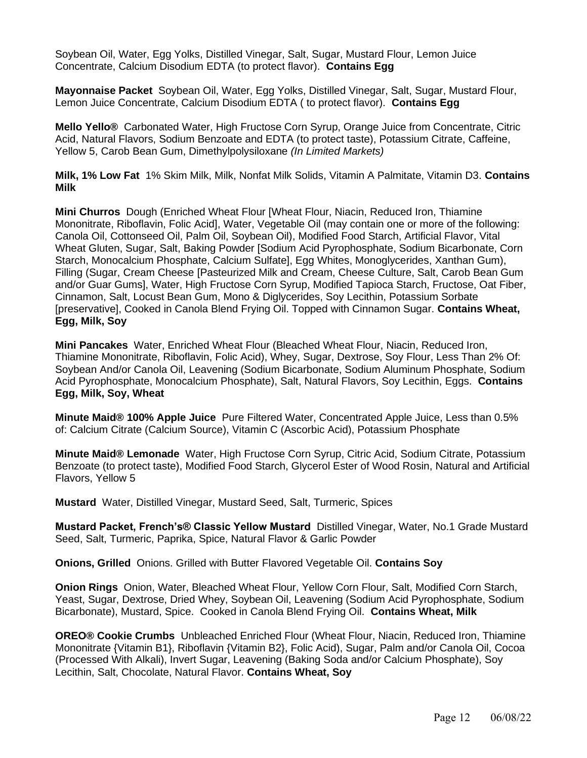Soybean Oil, Water, Egg Yolks, Distilled Vinegar, Salt, Sugar, Mustard Flour, Lemon Juice Concentrate, Calcium Disodium EDTA (to protect flavor). **Contains Egg**

**Mayonnaise Packet** Soybean Oil, Water, Egg Yolks, Distilled Vinegar, Salt, Sugar, Mustard Flour, Lemon Juice Concentrate, Calcium Disodium EDTA ( to protect flavor). **Contains Egg**

**Mello Yello®** Carbonated Water, High Fructose Corn Syrup, Orange Juice from Concentrate, Citric Acid, Natural Flavors, Sodium Benzoate and EDTA (to protect taste), Potassium Citrate, Caffeine, Yellow 5, Carob Bean Gum, Dimethylpolysiloxane *(In Limited Markets)*

**Milk, 1% Low Fat** 1% Skim Milk, Milk, Nonfat Milk Solids, Vitamin A Palmitate, Vitamin D3. **Contains Milk**

**Mini Churros** Dough (Enriched Wheat Flour [Wheat Flour, Niacin, Reduced Iron, Thiamine Mononitrate, Riboflavin, Folic Acid], Water, Vegetable Oil (may contain one or more of the following: Canola Oil, Cottonseed Oil, Palm Oil, Soybean Oil), Modified Food Starch, Artificial Flavor, Vital Wheat Gluten, Sugar, Salt, Baking Powder [Sodium Acid Pyrophosphate, Sodium Bicarbonate, Corn Starch, Monocalcium Phosphate, Calcium Sulfate], Egg Whites, Monoglycerides, Xanthan Gum), Filling (Sugar, Cream Cheese [Pasteurized Milk and Cream, Cheese Culture, Salt, Carob Bean Gum and/or Guar Gums], Water, High Fructose Corn Syrup, Modified Tapioca Starch, Fructose, Oat Fiber, Cinnamon, Salt, Locust Bean Gum, Mono & Diglycerides, Soy Lecithin, Potassium Sorbate [preservative], Cooked in Canola Blend Frying Oil. Topped with Cinnamon Sugar. **Contains Wheat, Egg, Milk, Soy**

**Mini Pancakes** Water, Enriched Wheat Flour (Bleached Wheat Flour, Niacin, Reduced Iron, Thiamine Mononitrate, Riboflavin, Folic Acid), Whey, Sugar, Dextrose, Soy Flour, Less Than 2% Of: Soybean And/or Canola Oil, Leavening (Sodium Bicarbonate, Sodium Aluminum Phosphate, Sodium Acid Pyrophosphate, Monocalcium Phosphate), Salt, Natural Flavors, Soy Lecithin, Eggs. **Contains Egg, Milk, Soy, Wheat**

**Minute Maid® 100% Apple Juice** Pure Filtered Water, Concentrated Apple Juice, Less than 0.5% of: Calcium Citrate (Calcium Source), Vitamin C (Ascorbic Acid), Potassium Phosphate

**Minute Maid® Lemonade** Water, High Fructose Corn Syrup, Citric Acid, Sodium Citrate, Potassium Benzoate (to protect taste), Modified Food Starch, Glycerol Ester of Wood Rosin, Natural and Artificial Flavors, Yellow 5

**Mustard** Water, Distilled Vinegar, Mustard Seed, Salt, Turmeric, Spices

**Mustard Packet, French's® Classic Yellow Mustard** Distilled Vinegar, Water, No.1 Grade Mustard Seed, Salt, Turmeric, Paprika, Spice, Natural Flavor & Garlic Powder

**Onions, Grilled** Onions. Grilled with Butter Flavored Vegetable Oil. **Contains Soy**

**Onion Rings** Onion, Water, Bleached Wheat Flour, Yellow Corn Flour, Salt, Modified Corn Starch, Yeast, Sugar, Dextrose, Dried Whey, Soybean Oil, Leavening (Sodium Acid Pyrophosphate, Sodium Bicarbonate), Mustard, Spice. Cooked in Canola Blend Frying Oil. **Contains Wheat, Milk**

**OREO® Cookie Crumbs** Unbleached Enriched Flour (Wheat Flour, Niacin, Reduced Iron, Thiamine Mononitrate {Vitamin B1}, Riboflavin {Vitamin B2}, Folic Acid), Sugar, Palm and/or Canola Oil, Cocoa (Processed With Alkali), Invert Sugar, Leavening (Baking Soda and/or Calcium Phosphate), Soy Lecithin, Salt, Chocolate, Natural Flavor. **Contains Wheat, Soy**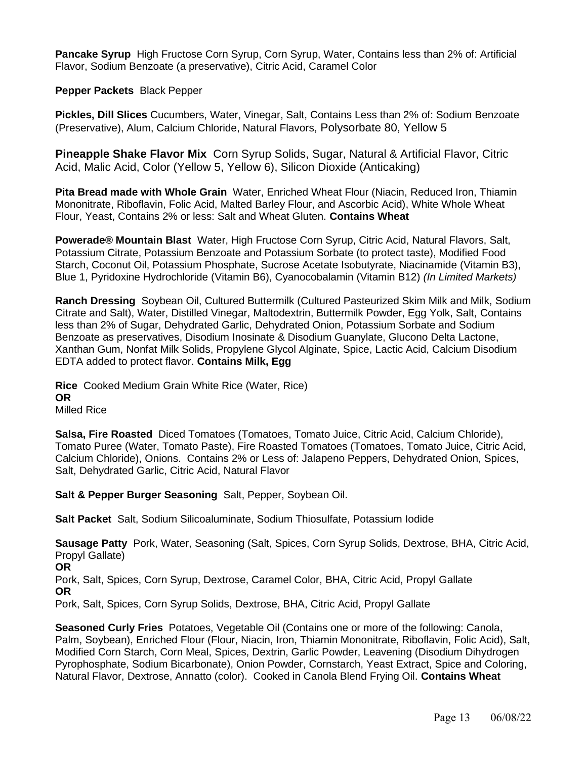**Pancake Syrup** High Fructose Corn Syrup, Corn Syrup, Water, Contains less than 2% of: Artificial Flavor, Sodium Benzoate (a preservative), Citric Acid, Caramel Color

### **Pepper Packets** Black Pepper

**Pickles, Dill Slices** Cucumbers, Water, Vinegar, Salt, Contains Less than 2% of: Sodium Benzoate (Preservative), Alum, Calcium Chloride, Natural Flavors, Polysorbate 80, Yellow 5

**Pineapple Shake Flavor Mix** Corn Syrup Solids, Sugar, Natural & Artificial Flavor, Citric Acid, Malic Acid, Color (Yellow 5, Yellow 6), Silicon Dioxide (Anticaking)

**Pita Bread made with Whole Grain** Water, Enriched Wheat Flour (Niacin, Reduced Iron, Thiamin Mononitrate, Riboflavin, Folic Acid, Malted Barley Flour, and Ascorbic Acid), White Whole Wheat Flour, Yeast, Contains 2% or less: Salt and Wheat Gluten. **Contains Wheat**

**Powerade® Mountain Blast** Water, High Fructose Corn Syrup, Citric Acid, Natural Flavors, Salt, Potassium Citrate, Potassium Benzoate and Potassium Sorbate (to protect taste), Modified Food Starch, Coconut Oil, Potassium Phosphate, Sucrose Acetate Isobutyrate, Niacinamide (Vitamin B3), Blue 1, Pyridoxine Hydrochloride (Vitamin B6), Cyanocobalamin (Vitamin B12) *(In Limited Markets)*

**Ranch Dressing** Soybean Oil, Cultured Buttermilk (Cultured Pasteurized Skim Milk and Milk, Sodium Citrate and Salt), Water, Distilled Vinegar, Maltodextrin, Buttermilk Powder, Egg Yolk, Salt, Contains less than 2% of Sugar, Dehydrated Garlic, Dehydrated Onion, Potassium Sorbate and Sodium Benzoate as preservatives, Disodium Inosinate & Disodium Guanylate, Glucono Delta Lactone, Xanthan Gum, Nonfat Milk Solids, Propylene Glycol Alginate, Spice, Lactic Acid, Calcium Disodium EDTA added to protect flavor. **Contains Milk, Egg**

**Rice** Cooked Medium Grain White Rice (Water, Rice) **OR** Milled Rice

**Salsa, Fire Roasted** Diced Tomatoes (Tomatoes, Tomato Juice, Citric Acid, Calcium Chloride), Tomato Puree (Water, Tomato Paste), Fire Roasted Tomatoes (Tomatoes, Tomato Juice, Citric Acid, Calcium Chloride), Onions. Contains 2% or Less of: Jalapeno Peppers, Dehydrated Onion, Spices, Salt, Dehydrated Garlic, Citric Acid, Natural Flavor

**Salt & Pepper Burger Seasoning** Salt, Pepper, Soybean Oil.

**Salt Packet** Salt, Sodium Silicoaluminate, Sodium Thiosulfate, Potassium Iodide

**Sausage Patty** Pork, Water, Seasoning (Salt, Spices, Corn Syrup Solids, Dextrose, BHA, Citric Acid, Propyl Gallate) **OR**  Pork, Salt, Spices, Corn Syrup, Dextrose, Caramel Color, BHA, Citric Acid, Propyl Gallate **OR**  Pork, Salt, Spices, Corn Syrup Solids, Dextrose, BHA, Citric Acid, Propyl Gallate

**Seasoned Curly Fries** Potatoes, Vegetable Oil (Contains one or more of the following: Canola, Palm, Soybean), Enriched Flour (Flour, Niacin, Iron, Thiamin Mononitrate, Riboflavin, Folic Acid), Salt, Modified Corn Starch, Corn Meal, Spices, Dextrin, Garlic Powder, Leavening (Disodium Dihydrogen Pyrophosphate, Sodium Bicarbonate), Onion Powder, Cornstarch, Yeast Extract, Spice and Coloring, Natural Flavor, Dextrose, Annatto (color). Cooked in Canola Blend Frying Oil. **Contains Wheat**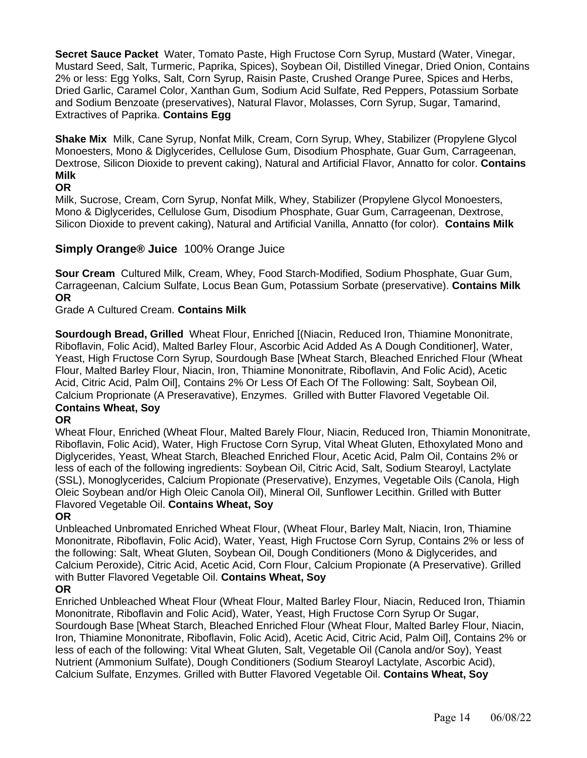**Secret Sauce Packet** Water, Tomato Paste, High Fructose Corn Syrup, Mustard (Water, Vinegar, Mustard Seed, Salt, Turmeric, Paprika, Spices), Soybean Oil, Distilled Vinegar, Dried Onion, Contains 2% or less: Egg Yolks, Salt, Corn Syrup, Raisin Paste, Crushed Orange Puree, Spices and Herbs, Dried Garlic, Caramel Color, Xanthan Gum, Sodium Acid Sulfate, Red Peppers, Potassium Sorbate and Sodium Benzoate (preservatives), Natural Flavor, Molasses, Corn Syrup, Sugar, Tamarind, Extractives of Paprika. **Contains Egg**

**Shake Mix** Milk, Cane Syrup, Nonfat Milk, Cream, Corn Syrup, Whey, Stabilizer (Propylene Glycol Monoesters, Mono & Diglycerides, Cellulose Gum, Disodium Phosphate, Guar Gum, Carrageenan, Dextrose, Silicon Dioxide to prevent caking), Natural and Artificial Flavor, Annatto for color. **Contains Milk**

# **OR**

Milk, Sucrose, Cream, Corn Syrup, Nonfat Milk, Whey, Stabilizer (Propylene Glycol Monoesters, Mono & Diglycerides, Cellulose Gum, Disodium Phosphate, Guar Gum, Carrageenan, Dextrose, Silicon Dioxide to prevent caking), Natural and Artificial Vanilla, Annatto (for color). **Contains Milk**

# **Simply Orange® Juice** 100% Orange Juice

**Sour Cream** Cultured Milk, Cream, Whey, Food Starch-Modified, Sodium Phosphate, Guar Gum, Carrageenan, Calcium Sulfate, Locus Bean Gum, Potassium Sorbate (preservative). **Contains Milk OR**

Grade A Cultured Cream. **Contains Milk**

**Sourdough Bread, Grilled** Wheat Flour, Enriched [(Niacin, Reduced Iron, Thiamine Mononitrate, Riboflavin, Folic Acid), Malted Barley Flour, Ascorbic Acid Added As A Dough Conditioner], Water, Yeast, High Fructose Corn Syrup, Sourdough Base [Wheat Starch, Bleached Enriched Flour (Wheat Flour, Malted Barley Flour, Niacin, Iron, Thiamine Mononitrate, Riboflavin, And Folic Acid), Acetic Acid, Citric Acid, Palm Oil], Contains 2% Or Less Of Each Of The Following: Salt, Soybean Oil, Calcium Proprionate (A Preseravative), Enzymes. Grilled with Butter Flavored Vegetable Oil. **Contains Wheat, Soy**

# **OR**

Wheat Flour, Enriched (Wheat Flour, Malted Barely Flour, Niacin, Reduced Iron, Thiamin Mononitrate, Riboflavin, Folic Acid), Water, High Fructose Corn Syrup, Vital Wheat Gluten, Ethoxylated Mono and Diglycerides, Yeast, Wheat Starch, Bleached Enriched Flour, Acetic Acid, Palm Oil, Contains 2% or less of each of the following ingredients: Soybean Oil, Citric Acid, Salt, Sodium Stearoyl, Lactylate (SSL), Monoglycerides, Calcium Propionate (Preservative), Enzymes, Vegetable Oils (Canola, High Oleic Soybean and/or High Oleic Canola Oil), Mineral Oil, Sunflower Lecithin. Grilled with Butter Flavored Vegetable Oil. **Contains Wheat, Soy** 

# **OR**

Unbleached Unbromated Enriched Wheat Flour, (Wheat Flour, Barley Malt, Niacin, Iron, Thiamine Mononitrate, Riboflavin, Folic Acid), Water, Yeast, High Fructose Corn Syrup, Contains 2% or less of the following: Salt, Wheat Gluten, Soybean Oil, Dough Conditioners (Mono & Diglycerides, and Calcium Peroxide), Citric Acid, Acetic Acid, Corn Flour, Calcium Propionate (A Preservative). Grilled with Butter Flavored Vegetable Oil. **Contains Wheat, Soy** 

# **OR**

Enriched Unbleached Wheat Flour (Wheat Flour, Malted Barley Flour, Niacin, Reduced Iron, Thiamin Mononitrate, Riboflavin and Folic Acid), Water, Yeast, High Fructose Corn Syrup Or Sugar, Sourdough Base [Wheat Starch, Bleached Enriched Flour (Wheat Flour, Malted Barley Flour, Niacin, Iron, Thiamine Mononitrate, Riboflavin, Folic Acid), Acetic Acid, Citric Acid, Palm Oil], Contains 2% or less of each of the following: Vital Wheat Gluten, Salt, Vegetable Oil (Canola and/or Soy), Yeast Nutrient (Ammonium Sulfate), Dough Conditioners (Sodium Stearoyl Lactylate, Ascorbic Acid), Calcium Sulfate, Enzymes. Grilled with Butter Flavored Vegetable Oil. **Contains Wheat, Soy**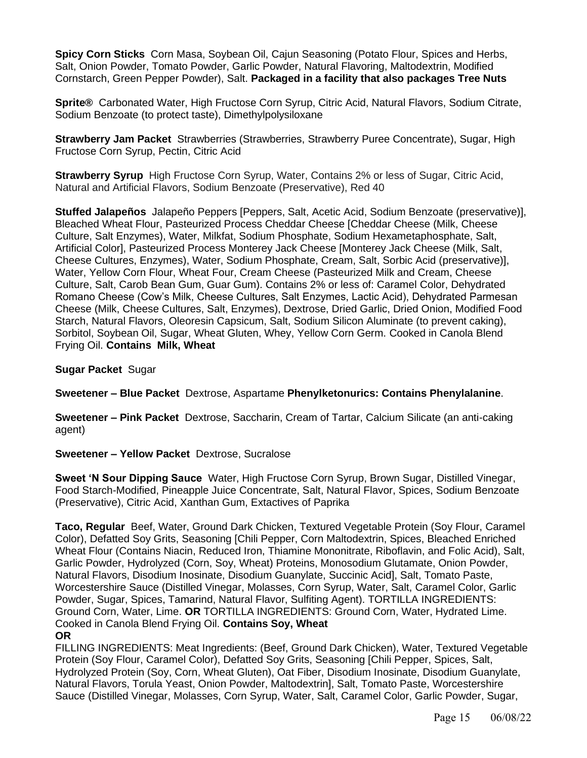**Spicy Corn Sticks** Corn Masa, Soybean Oil, Cajun Seasoning (Potato Flour, Spices and Herbs, Salt, Onion Powder, Tomato Powder, Garlic Powder, Natural Flavoring, Maltodextrin, Modified Cornstarch, Green Pepper Powder), Salt. **Packaged in a facility that also packages Tree Nuts**

**Sprite®** Carbonated Water, High Fructose Corn Syrup, Citric Acid, Natural Flavors, Sodium Citrate, Sodium Benzoate (to protect taste), Dimethylpolysiloxane

**Strawberry Jam Packet** Strawberries (Strawberries, Strawberry Puree Concentrate), Sugar, High Fructose Corn Syrup, Pectin, Citric Acid

**Strawberry Syrup** High Fructose Corn Syrup, Water, Contains 2% or less of Sugar, Citric Acid, Natural and Artificial Flavors, Sodium Benzoate (Preservative), Red 40

**Stuffed Jalapeños** Jalapeño Peppers [Peppers, Salt, Acetic Acid, Sodium Benzoate (preservative)], Bleached Wheat Flour, Pasteurized Process Cheddar Cheese [Cheddar Cheese (Milk, Cheese Culture, Salt Enzymes), Water, Milkfat, Sodium Phosphate, Sodium Hexametaphosphate, Salt, Artificial Color], Pasteurized Process Monterey Jack Cheese [Monterey Jack Cheese (Milk, Salt, Cheese Cultures, Enzymes), Water, Sodium Phosphate, Cream, Salt, Sorbic Acid (preservative)], Water, Yellow Corn Flour, Wheat Four, Cream Cheese (Pasteurized Milk and Cream, Cheese Culture, Salt, Carob Bean Gum, Guar Gum). Contains 2% or less of: Caramel Color, Dehydrated Romano Cheese (Cow's Milk, Cheese Cultures, Salt Enzymes, Lactic Acid), Dehydrated Parmesan Cheese (Milk, Cheese Cultures, Salt, Enzymes), Dextrose, Dried Garlic, Dried Onion, Modified Food Starch, Natural Flavors, Oleoresin Capsicum, Salt, Sodium Silicon Aluminate (to prevent caking), Sorbitol, Soybean Oil, Sugar, Wheat Gluten, Whey, Yellow Corn Germ. Cooked in Canola Blend Frying Oil. **Contains Milk, Wheat**

**Sugar Packet** Sugar

**Sweetener – Blue Packet** Dextrose, Aspartame **Phenylketonurics: Contains Phenylalanine**.

**Sweetener – Pink Packet** Dextrose, Saccharin, Cream of Tartar, Calcium Silicate (an anti-caking agent)

# **Sweetener – Yellow Packet** Dextrose, Sucralose

**Sweet 'N Sour Dipping Sauce** Water, High Fructose Corn Syrup, Brown Sugar, Distilled Vinegar, Food Starch-Modified, Pineapple Juice Concentrate, Salt, Natural Flavor, Spices, Sodium Benzoate (Preservative), Citric Acid, Xanthan Gum, Extactives of Paprika

**Taco, Regular** Beef, Water, Ground Dark Chicken, Textured Vegetable Protein (Soy Flour, Caramel Color), Defatted Soy Grits, Seasoning [Chili Pepper, Corn Maltodextrin, Spices, Bleached Enriched Wheat Flour (Contains Niacin, Reduced Iron, Thiamine Mononitrate, Riboflavin, and Folic Acid), Salt, Garlic Powder, Hydrolyzed (Corn, Soy, Wheat) Proteins, Monosodium Glutamate, Onion Powder, Natural Flavors, Disodium Inosinate, Disodium Guanylate, Succinic Acid], Salt, Tomato Paste, Worcestershire Sauce (Distilled Vinegar, Molasses, Corn Syrup, Water, Salt, Caramel Color, Garlic Powder, Sugar, Spices, Tamarind, Natural Flavor, Sulfiting Agent). TORTILLA INGREDIENTS: Ground Corn, Water, Lime. **OR** TORTILLA INGREDIENTS: Ground Corn, Water, Hydrated Lime. Cooked in Canola Blend Frying Oil. **Contains Soy, Wheat OR**

### FILLING INGREDIENTS: Meat Ingredients: (Beef, Ground Dark Chicken), Water, Textured Vegetable Protein (Soy Flour, Caramel Color), Defatted Soy Grits, Seasoning [Chili Pepper, Spices, Salt, Hydrolyzed Protein (Soy, Corn, Wheat Gluten), Oat Fiber, Disodium Inosinate, Disodium Guanylate, Natural Flavors, Torula Yeast, Onion Powder, Maltodextrin], Salt, Tomato Paste, Worcestershire Sauce (Distilled Vinegar, Molasses, Corn Syrup, Water, Salt, Caramel Color, Garlic Powder, Sugar,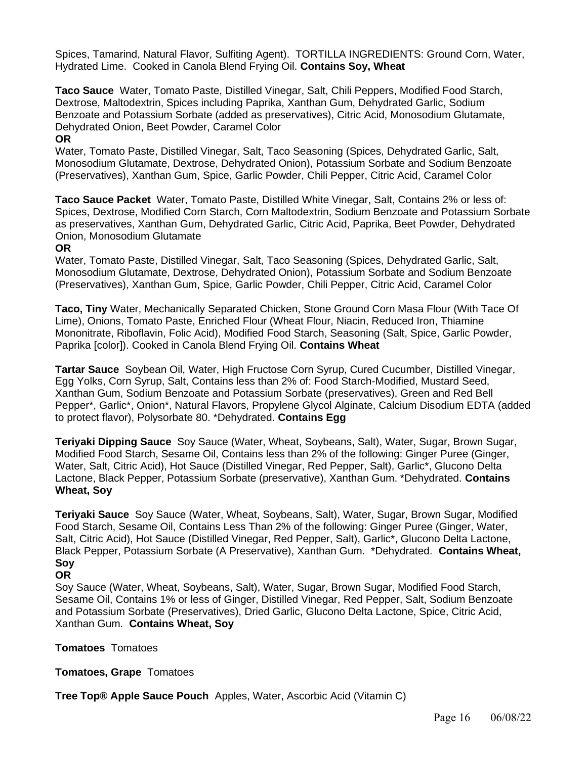Spices, Tamarind, Natural Flavor, Sulfiting Agent). TORTILLA INGREDIENTS: Ground Corn, Water, Hydrated Lime. Cooked in Canola Blend Frying Oil. **Contains Soy, Wheat**

**Taco Sauce** Water, Tomato Paste, Distilled Vinegar, Salt, Chili Peppers, Modified Food Starch, Dextrose, Maltodextrin, Spices including Paprika, Xanthan Gum, Dehydrated Garlic, Sodium Benzoate and Potassium Sorbate (added as preservatives), Citric Acid, Monosodium Glutamate, Dehydrated Onion, Beet Powder, Caramel Color

### **OR**

Water, Tomato Paste, Distilled Vinegar, Salt, Taco Seasoning (Spices, Dehydrated Garlic, Salt, Monosodium Glutamate, Dextrose, Dehydrated Onion), Potassium Sorbate and Sodium Benzoate (Preservatives), Xanthan Gum, Spice, Garlic Powder, Chili Pepper, Citric Acid, Caramel Color

**Taco Sauce Packet** Water, Tomato Paste, Distilled White Vinegar, Salt, Contains 2% or less of: Spices, Dextrose, Modified Corn Starch, Corn Maltodextrin, Sodium Benzoate and Potassium Sorbate as preservatives, Xanthan Gum, Dehydrated Garlic, Citric Acid, Paprika, Beet Powder, Dehydrated Onion, Monosodium Glutamate

### **OR**

Water, Tomato Paste, Distilled Vinegar, Salt, Taco Seasoning (Spices, Dehydrated Garlic, Salt, Monosodium Glutamate, Dextrose, Dehydrated Onion), Potassium Sorbate and Sodium Benzoate (Preservatives), Xanthan Gum, Spice, Garlic Powder, Chili Pepper, Citric Acid, Caramel Color

**Taco, Tiny** Water, Mechanically Separated Chicken, Stone Ground Corn Masa Flour (With Tace Of Lime), Onions, Tomato Paste, Enriched Flour (Wheat Flour, Niacin, Reduced Iron, Thiamine Mononitrate, Riboflavin, Folic Acid), Modified Food Starch, Seasoning (Salt, Spice, Garlic Powder, Paprika [color]). Cooked in Canola Blend Frying Oil. **Contains Wheat**

**Tartar Sauce** Soybean Oil, Water, High Fructose Corn Syrup, Cured Cucumber, Distilled Vinegar, Egg Yolks, Corn Syrup, Salt, Contains less than 2% of: Food Starch-Modified, Mustard Seed, Xanthan Gum, Sodium Benzoate and Potassium Sorbate (preservatives), Green and Red Bell Pepper\*, Garlic\*, Onion\*, Natural Flavors, Propylene Glycol Alginate, Calcium Disodium EDTA (added to protect flavor), Polysorbate 80. \*Dehydrated. **Contains Egg**

**Teriyaki Dipping Sauce** Soy Sauce (Water, Wheat, Soybeans, Salt), Water, Sugar, Brown Sugar, Modified Food Starch, Sesame Oil, Contains less than 2% of the following: Ginger Puree (Ginger, Water, Salt, Citric Acid), Hot Sauce (Distilled Vinegar, Red Pepper, Salt), Garlic\*, Glucono Delta Lactone, Black Pepper, Potassium Sorbate (preservative), Xanthan Gum. \*Dehydrated. **Contains Wheat, Soy**

**Teriyaki Sauce** Soy Sauce (Water, Wheat, Soybeans, Salt), Water, Sugar, Brown Sugar, Modified Food Starch, Sesame Oil, Contains Less Than 2% of the following: Ginger Puree (Ginger, Water, Salt, Citric Acid), Hot Sauce (Distilled Vinegar, Red Pepper, Salt), Garlic\*, Glucono Delta Lactone, Black Pepper, Potassium Sorbate (A Preservative), Xanthan Gum. \*Dehydrated. **Contains Wheat, Soy**

# **OR**

Soy Sauce (Water, Wheat, Soybeans, Salt), Water, Sugar, Brown Sugar, Modified Food Starch, Sesame Oil, Contains 1% or less of Ginger, Distilled Vinegar, Red Pepper, Salt, Sodium Benzoate and Potassium Sorbate (Preservatives), Dried Garlic, Glucono Delta Lactone, Spice, Citric Acid, Xanthan Gum. **Contains Wheat, Soy**

#### **Tomatoes** Tomatoes

**Tomatoes, Grape** Tomatoes

**Tree Top® Apple Sauce Pouch** Apples, Water, Ascorbic Acid (Vitamin C)